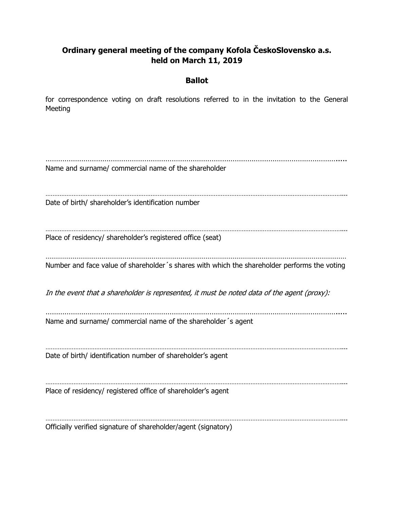# **Ordinary general meeting of the company Kofola ČeskoSlovensko a.s. held on March 11, 2019**

## **Ballot**

for correspondence voting on draft resolutions referred to in the invitation to the General Meeting